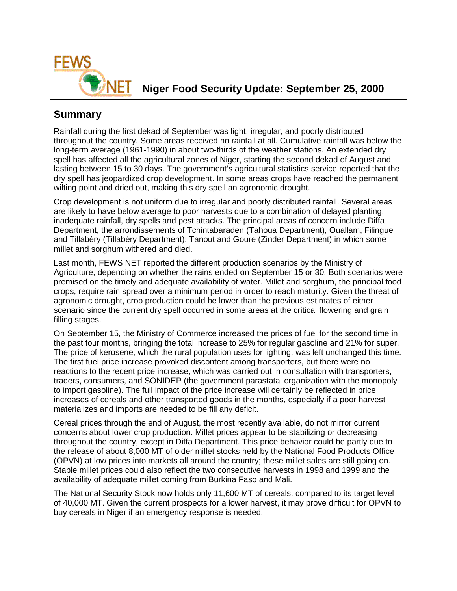

**NIGHT** Niger Food Security Update: September 25, 2000

# **Summary**

Rainfall during the first dekad of September was light, irregular, and poorly distributed throughout the country. Some areas received no rainfall at all. Cumulative rainfall was below the long-term average (1961-1990) in about two-thirds of the weather stations. An extended dry spell has affected all the agricultural zones of Niger, starting the second dekad of August and lasting between 15 to 30 days. The government's agricultural statistics service reported that the dry spell has jeopardized crop development. In some areas crops have reached the permanent wilting point and dried out, making this dry spell an agronomic drought.

Crop development is not uniform due to irregular and poorly distributed rainfall. Several areas are likely to have below average to poor harvests due to a combination of delayed planting, inadequate rainfall, dry spells and pest attacks. The principal areas of concern include Diffa Department, the arrondissements of Tchintabaraden (Tahoua Department), Ouallam, Filingue and Tillabéry (Tillabéry Department); Tanout and Goure (Zinder Department) in which some millet and sorghum withered and died.

Last month, FEWS NET reported the different production scenarios by the Ministry of Agriculture, depending on whether the rains ended on September 15 or 30. Both scenarios were premised on the timely and adequate availability of water. Millet and sorghum, the principal food crops, require rain spread over a minimum period in order to reach maturity. Given the threat of agronomic drought, crop production could be lower than the previous estimates of either scenario since the current dry spell occurred in some areas at the critical flowering and grain filling stages.

On September 15, the Ministry of Commerce increased the prices of fuel for the second time in the past four months, bringing the total increase to 25% for regular gasoline and 21% for super. The price of kerosene, which the rural population uses for lighting, was left unchanged this time. The first fuel price increase provoked discontent among transporters, but there were no reactions to the recent price increase, which was carried out in consultation with transporters, traders, consumers, and SONIDEP (the government parastatal organization with the monopoly to import gasoline). The full impact of the price increase will certainly be reflected in price increases of cereals and other transported goods in the months, especially if a poor harvest materializes and imports are needed to be fill any deficit.

Cereal prices through the end of August, the most recently available, do not mirror current concerns about lower crop production. Millet prices appear to be stabilizing or decreasing throughout the country, except in Diffa Department. This price behavior could be partly due to the release of about 8,000 MT of older millet stocks held by the National Food Products Office (OPVN) at low prices into markets all around the country; these millet sales are still going on. Stable millet prices could also reflect the two consecutive harvests in 1998 and 1999 and the availability of adequate millet coming from Burkina Faso and Mali.

The National Security Stock now holds only 11,600 MT of cereals, compared to its target level of 40,000 MT. Given the current prospects for a lower harvest, it may prove difficult for OPVN to buy cereals in Niger if an emergency response is needed.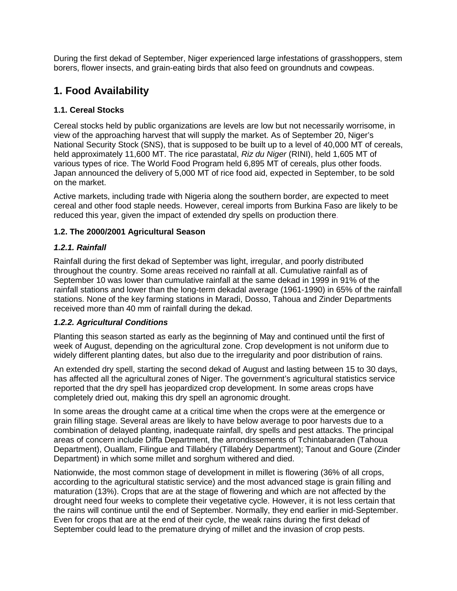During the first dekad of September, Niger experienced large infestations of grasshoppers, stem borers, flower insects, and grain-eating birds that also feed on groundnuts and cowpeas.

# **1. Food Availability**

## **1.1. Cereal Stocks**

Cereal stocks held by public organizations are levels are low but not necessarily worrisome, in view of the approaching harvest that will supply the market. As of September 20, Niger's National Security Stock (SNS), that is supposed to be built up to a level of 40,000 MT of cereals, held approximately 11,600 MT. The rice parastatal, *Riz du Niger* (RINI), held 1,605 MT of various types of rice. The World Food Program held 6,895 MT of cereals, plus other foods. Japan announced the delivery of 5,000 MT of rice food aid, expected in September, to be sold on the market.

Active markets, including trade with Nigeria along the southern border, are expected to meet cereal and other food staple needs. However, cereal imports from Burkina Faso are likely to be reduced this year, given the impact of extended dry spells on production there.

### **1.2. The 2000/2001 Agricultural Season**

### *1.2.1. Rainfall*

Rainfall during the first dekad of September was light, irregular, and poorly distributed throughout the country. Some areas received no rainfall at all. Cumulative rainfall as of September 10 was lower than cumulative rainfall at the same dekad in 1999 in 91% of the rainfall stations and lower than the long-term dekadal average (1961-1990) in 65% of the rainfall stations. None of the key farming stations in Maradi, Dosso, Tahoua and Zinder Departments received more than 40 mm of rainfall during the dekad.

### *1.2.2. Agricultural Conditions*

Planting this season started as early as the beginning of May and continued until the first of week of August, depending on the agricultural zone. Crop development is not uniform due to widely different planting dates, but also due to the irregularity and poor distribution of rains.

An extended dry spell, starting the second dekad of August and lasting between 15 to 30 days, has affected all the agricultural zones of Niger. The government's agricultural statistics service reported that the dry spell has jeopardized crop development. In some areas crops have completely dried out, making this dry spell an agronomic drought.

In some areas the drought came at a critical time when the crops were at the emergence or grain filling stage. Several areas are likely to have below average to poor harvests due to a combination of delayed planting, inadequate rainfall, dry spells and pest attacks. The principal areas of concern include Diffa Department, the arrondissements of Tchintabaraden (Tahoua Department), Ouallam, Filingue and Tillabéry (Tillabéry Department); Tanout and Goure (Zinder Department) in which some millet and sorghum withered and died.

Nationwide, the most common stage of development in millet is flowering (36% of all crops, according to the agricultural statistic service) and the most advanced stage is grain filling and maturation (13%). Crops that are at the stage of flowering and which are not affected by the drought need four weeks to complete their vegetative cycle. However, it is not less certain that the rains will continue until the end of September. Normally, they end earlier in mid-September. Even for crops that are at the end of their cycle, the weak rains during the first dekad of September could lead to the premature drying of millet and the invasion of crop pests.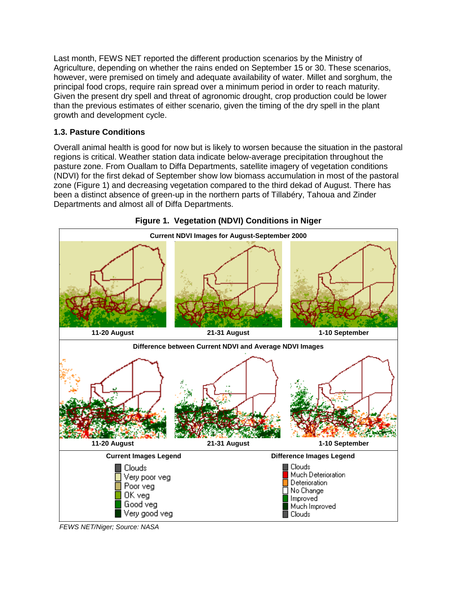Last month, FEWS NET reported the different production scenarios by the Ministry of Agriculture, depending on whether the rains ended on September 15 or 30. These scenarios, however, were premised on timely and adequate availability of water. Millet and sorghum, the principal food crops, require rain spread over a minimum period in order to reach maturity. Given the present dry spell and threat of agronomic drought, crop production could be lower than the previous estimates of either scenario, given the timing of the dry spell in the plant growth and development cycle.

### **1.3. Pasture Conditions**

Overall animal health is good for now but is likely to worsen because the situation in the pastoral regions is critical. Weather station data indicate below-average precipitation throughout the pasture zone. From Ouallam to Diffa Departments, satellite imagery of vegetation conditions (NDVI) for the first dekad of September show low biomass accumulation in most of the pastoral zone (Figure 1) and decreasing vegetation compared to the third dekad of August. There has been a distinct absence of green-up in the northern parts of Tillabéry, Tahoua and Zinder Departments and almost all of Diffa Departments.



**Figure 1. Vegetation (NDVI) Conditions in Niger** 

*FEWS NET/Niger; Source: NASA*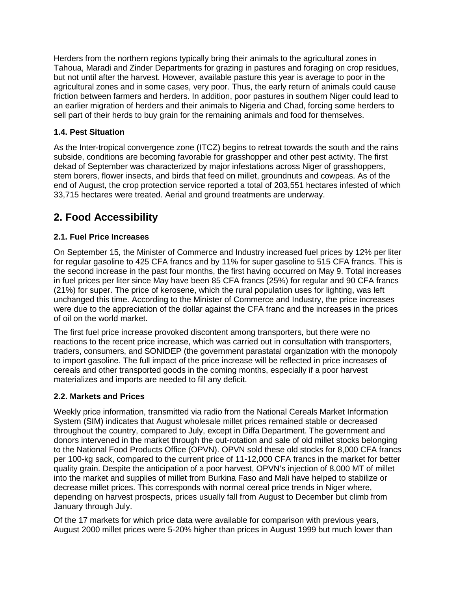Herders from the northern regions typically bring their animals to the agricultural zones in Tahoua, Maradi and Zinder Departments for grazing in pastures and foraging on crop residues, but not until after the harvest. However, available pasture this year is average to poor in the agricultural zones and in some cases, very poor. Thus, the early return of animals could cause friction between farmers and herders. In addition, poor pastures in southern Niger could lead to an earlier migration of herders and their animals to Nigeria and Chad, forcing some herders to sell part of their herds to buy grain for the remaining animals and food for themselves.

### **1.4. Pest Situation**

As the Inter-tropical convergence zone (ITCZ) begins to retreat towards the south and the rains subside, conditions are becoming favorable for grasshopper and other pest activity. The first dekad of September was characterized by major infestations across Niger of grasshoppers, stem borers, flower insects, and birds that feed on millet, groundnuts and cowpeas. As of the end of August, the crop protection service reported a total of 203,551 hectares infested of which 33,715 hectares were treated. Aerial and ground treatments are underway.

# **2. Food Accessibility**

### **2.1. Fuel Price Increases**

On September 15, the Minister of Commerce and Industry increased fuel prices by 12% per liter for regular gasoline to 425 CFA francs and by 11% for super gasoline to 515 CFA francs. This is the second increase in the past four months, the first having occurred on May 9. Total increases in fuel prices per liter since May have been 85 CFA francs (25%) for regular and 90 CFA francs (21%) for super. The price of kerosene, which the rural population uses for lighting, was left unchanged this time. According to the Minister of Commerce and Industry, the price increases were due to the appreciation of the dollar against the CFA franc and the increases in the prices of oil on the world market.

The first fuel price increase provoked discontent among transporters, but there were no reactions to the recent price increase, which was carried out in consultation with transporters, traders, consumers, and SONIDEP (the government parastatal organization with the monopoly to import gasoline. The full impact of the price increase will be reflected in price increases of cereals and other transported goods in the coming months, especially if a poor harvest materializes and imports are needed to fill any deficit.

#### **2.2. Markets and Prices**

Weekly price information, transmitted via radio from the National Cereals Market Information System (SIM) indicates that August wholesale millet prices remained stable or decreased throughout the country, compared to July, except in Diffa Department. The government and donors intervened in the market through the out-rotation and sale of old millet stocks belonging to the National Food Products Office (OPVN). OPVN sold these old stocks for 8,000 CFA francs per 100-kg sack, compared to the current price of 11-12,000 CFA francs in the market for better quality grain. Despite the anticipation of a poor harvest, OPVN's injection of 8,000 MT of millet into the market and supplies of millet from Burkina Faso and Mali have helped to stabilize or decrease millet prices. This corresponds with normal cereal price trends in Niger where, depending on harvest prospects, prices usually fall from August to December but climb from January through July.

Of the 17 markets for which price data were available for comparison with previous years, August 2000 millet prices were 5-20% higher than prices in August 1999 but much lower than